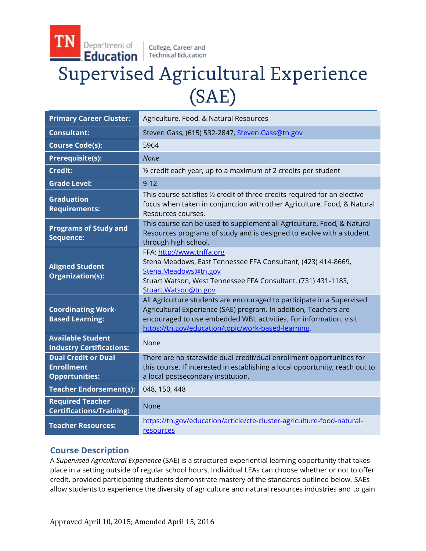College, Career and **Technical Education** 

Department of

# Education **Supervised Agricultural Experience**  $(SAE)$

| <b>Primary Career Cluster:</b>                                           | Agriculture, Food, & Natural Resources                                                                                                                                                                                                                                 |
|--------------------------------------------------------------------------|------------------------------------------------------------------------------------------------------------------------------------------------------------------------------------------------------------------------------------------------------------------------|
| <b>Consultant:</b>                                                       | Steven Gass, (615) 532-2847, Steven. Gass@tn.gov                                                                                                                                                                                                                       |
| <b>Course Code(s):</b>                                                   | 5964                                                                                                                                                                                                                                                                   |
| Prerequisite(s):                                                         | None                                                                                                                                                                                                                                                                   |
| <b>Credit:</b>                                                           | 1/2 credit each year, up to a maximum of 2 credits per student                                                                                                                                                                                                         |
| <b>Grade Level:</b>                                                      | $9 - 12$                                                                                                                                                                                                                                                               |
| <b>Graduation</b><br><b>Requirements:</b>                                | This course satisfies 1/2 credit of three credits required for an elective<br>focus when taken in conjunction with other Agriculture, Food, & Natural<br>Resources courses.                                                                                            |
| <b>Programs of Study and</b><br>Sequence:                                | This course can be used to supplement all Agriculture, Food, & Natural<br>Resources programs of study and is designed to evolve with a student<br>through high school.                                                                                                 |
| <b>Aligned Student</b><br>Organization(s):                               | FFA: http://www.tnffa.org<br>Stena Meadows, East Tennessee FFA Consultant, (423) 414-8669,<br>Stena.Meadows@tn.gov<br>Stuart Watson, West Tennessee FFA Consultant, (731) 431-1183,<br>Stuart.Watson@tn.gov                                                            |
| <b>Coordinating Work-</b><br><b>Based Learning:</b>                      | All Agriculture students are encouraged to participate in a Supervised<br>Agricultural Experience (SAE) program. In addition, Teachers are<br>encouraged to use embedded WBL activities. For information, visit<br>https://tn.gov/education/topic/work-based-learning. |
| <b>Available Student</b><br><b>Industry Certifications:</b>              | <b>None</b>                                                                                                                                                                                                                                                            |
| <b>Dual Credit or Dual</b><br><b>Enrollment</b><br><b>Opportunities:</b> | There are no statewide dual credit/dual enrollment opportunities for<br>this course. If interested in establishing a local opportunity, reach out to<br>a local postsecondary institution.                                                                             |
| <b>Teacher Endorsement(s):</b>                                           | 048, 150, 448                                                                                                                                                                                                                                                          |
| <b>Required Teacher</b><br><b>Certifications/Training:</b>               | None                                                                                                                                                                                                                                                                   |
| <b>Teacher Resources:</b>                                                | https://tn.gov/education/article/cte-cluster-agriculture-food-natural-<br>resources                                                                                                                                                                                    |

# **Course Description**

A *Supervised Agricultural Experience* (SAE) is a structured experiential learning opportunity that takes place in a setting outside of regular school hours. Individual LEAs can choose whether or not to offer credit, provided participating students demonstrate mastery of the standards outlined below. SAEs allow students to experience the diversity of agriculture and natural resources industries and to gain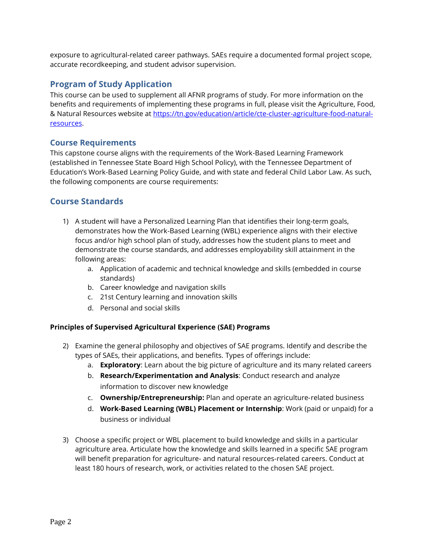exposure to agricultural-related career pathways. SAEs require a documented formal project scope, accurate recordkeeping, and student advisor supervision.

## **Program of Study Application**

This course can be used to supplement all AFNR programs of study. For more information on the benefits and requirements of implementing these programs in full, please visit the Agriculture, Food, & Natural Resources website at [https://tn.gov/education/article/cte-cluster-agriculture-food-natural](https://tn.gov/education/article/cte-cluster-agriculture-food-natural-resources)[resources.](https://tn.gov/education/article/cte-cluster-agriculture-food-natural-resources)

## **Course Requirements**

This capstone course aligns with the requirements of the Work-Based Learning Framework (established in Tennessee State Board High School Policy), with the Tennessee Department of Education's Work-Based Learning Policy Guide, and with state and federal Child Labor Law. As such, the following components are course requirements:

# **Course Standards**

- 1) A student will have a Personalized Learning Plan that identifies their long-term goals, demonstrates how the Work-Based Learning (WBL) experience aligns with their elective focus and/or high school plan of study, addresses how the student plans to meet and demonstrate the course standards, and addresses employability skill attainment in the following areas:
	- a. Application of academic and technical knowledge and skills (embedded in course standards)
	- b. Career knowledge and navigation skills
	- c. 21st Century learning and innovation skills
	- d. Personal and social skills

### **Principles of Supervised Agricultural Experience (SAE) Programs**

- 2) Examine the general philosophy and objectives of SAE programs. Identify and describe the types of SAEs, their applications, and benefits. Types of offerings include:
	- a. **Exploratory**: Learn about the big picture of agriculture and its many related careers
	- b. **Research/Experimentation and Analysis**: Conduct research and analyze information to discover new knowledge
	- c. **Ownership/Entrepreneurship:** Plan and operate an agriculture‐related business
	- d. **Work-Based Learning (WBL) Placement or Internship**: Work (paid or unpaid) for a business or individual
- 3) Choose a specific project or WBL placement to build knowledge and skills in a particular agriculture area. Articulate how the knowledge and skills learned in a specific SAE program will benefit preparation for agriculture- and natural resources-related careers. Conduct at least 180 hours of research, work, or activities related to the chosen SAE project.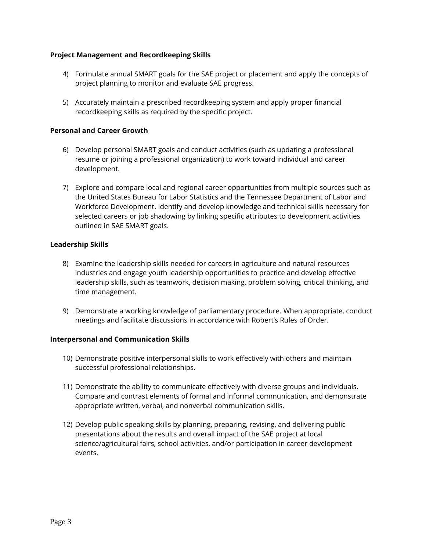#### **Project Management and Recordkeeping Skills**

- 4) Formulate annual SMART goals for the SAE project or placement and apply the concepts of project planning to monitor and evaluate SAE progress.
- 5) Accurately maintain a prescribed recordkeeping system and apply proper financial recordkeeping skills as required by the specific project.

#### **Personal and Career Growth**

- 6) Develop personal SMART goals and conduct activities (such as updating a professional resume or joining a professional organization) to work toward individual and career development.
- 7) Explore and compare local and regional career opportunities from multiple sources such as the United States Bureau for Labor Statistics and the Tennessee Department of Labor and Workforce Development. Identify and develop knowledge and technical skills necessary for selected careers or job shadowing by linking specific attributes to development activities outlined in SAE SMART goals.

#### **Leadership Skills**

- 8) Examine the leadership skills needed for careers in agriculture and natural resources industries and engage youth leadership opportunities to practice and develop effective leadership skills, such as teamwork, decision making, problem solving, critical thinking, and time management.
- 9) Demonstrate a working knowledge of parliamentary procedure. When appropriate, conduct meetings and facilitate discussions in accordance with Robert's Rules of Order.

#### **Interpersonal and Communication Skills**

- 10) Demonstrate positive interpersonal skills to work effectively with others and maintain successful professional relationships.
- 11) Demonstrate the ability to communicate effectively with diverse groups and individuals. Compare and contrast elements of formal and informal communication, and demonstrate appropriate written, verbal, and nonverbal communication skills.
- 12) Develop public speaking skills by planning, preparing, revising, and delivering public presentations about the results and overall impact of the SAE project at local science/agricultural fairs, school activities, and/or participation in career development events.